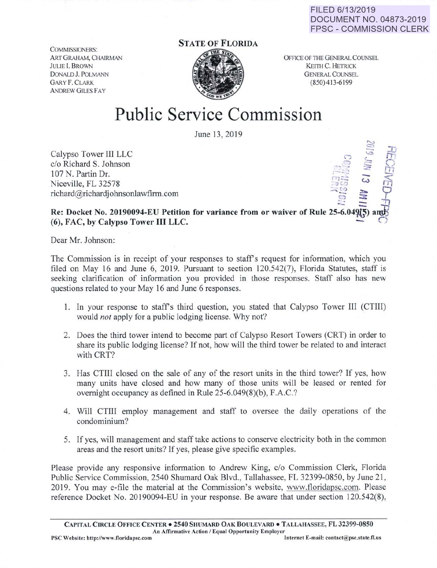FILED 6/13/2019 DOCUMENT NO. 04873-2019 FPSC- COMMISSION CLERK

 $\Xi$   $\overline{+}$ 

COMMISSIONERS: ART GRAHAM, CHAIRMAN JULLE I. BROWN DoNALD J. POLMANN GARY F. CLARK **ANDREW GILES FAY** 

## STATE OF FLORIDA



OFFICE OF THE GENERAL COUNSEL KEITH C. HETRlCK GENERAL COUNSEL (850) 413-6199

## Public Service Commission

June 13, 2019

Calypso Tower III LLC<br>c/o Richard S. Johnson c/o Richard S. Johnson ., '? \_\_\_ c::.. *C)* rl? 107 N. Partin Dr. • *- :* : - - 107 N. Partin Dr.<br>Niceville, FL 32578  $richard@richardjohnsonlawfirm.com$ 

Re: Docket No. 20190094-EU Petition for variance from or waiver of Rule 25-6.049(5 (6), FAC, by Calypso Tower III LLC.

Dear Mr. Johnson:

The Commission is in receipt of your responses to staff's request for information, which you filed on May 16 and June 6, 2019. Pursuant to section 120.542(7), Florida Statutes, staff is seeking clarification of information you provided in those responses. Staff also has new questions related to your May 16 and June 6 responses.

- 1. In your response to staff's third question, you stated that Calypso Tower III (CTIII) would *not* apply for a public lodging license. Why not?
- 2. Does the third tower intend to become part of Calypso Resort Towers (CRT) in order to share its public lodging license? If not, how will the third tower be related to and interact with CRT?
- 3. Has CTIII closed on the sale of any of the resort units in the third tower? If yes, how many units have closed and how many of those units will be leased or rented for overnight occupancy as defined in Rule 25-6.049(8)(b), F.A.C.?
- 4. Will CTIII employ management and staff to oversee the daily operations of the condominium?
- 5. If yes, will management and staff take actions to conserve electricity both in the common areas and the resort units? If yes, please give specific examples.

Please provide any responsive information to Andrew King, c/o Commission Clerk, Florida Public Service Commission, 2540 Shumard Oak Blvd., Tallahassee, FL 32399-0850, by June 21, 2019. You may e-file the material at the Commission's website, www.floridapsc.com. Please reference Docket No. 20190094-EU in your response. Be aware that under section 120.542(8),